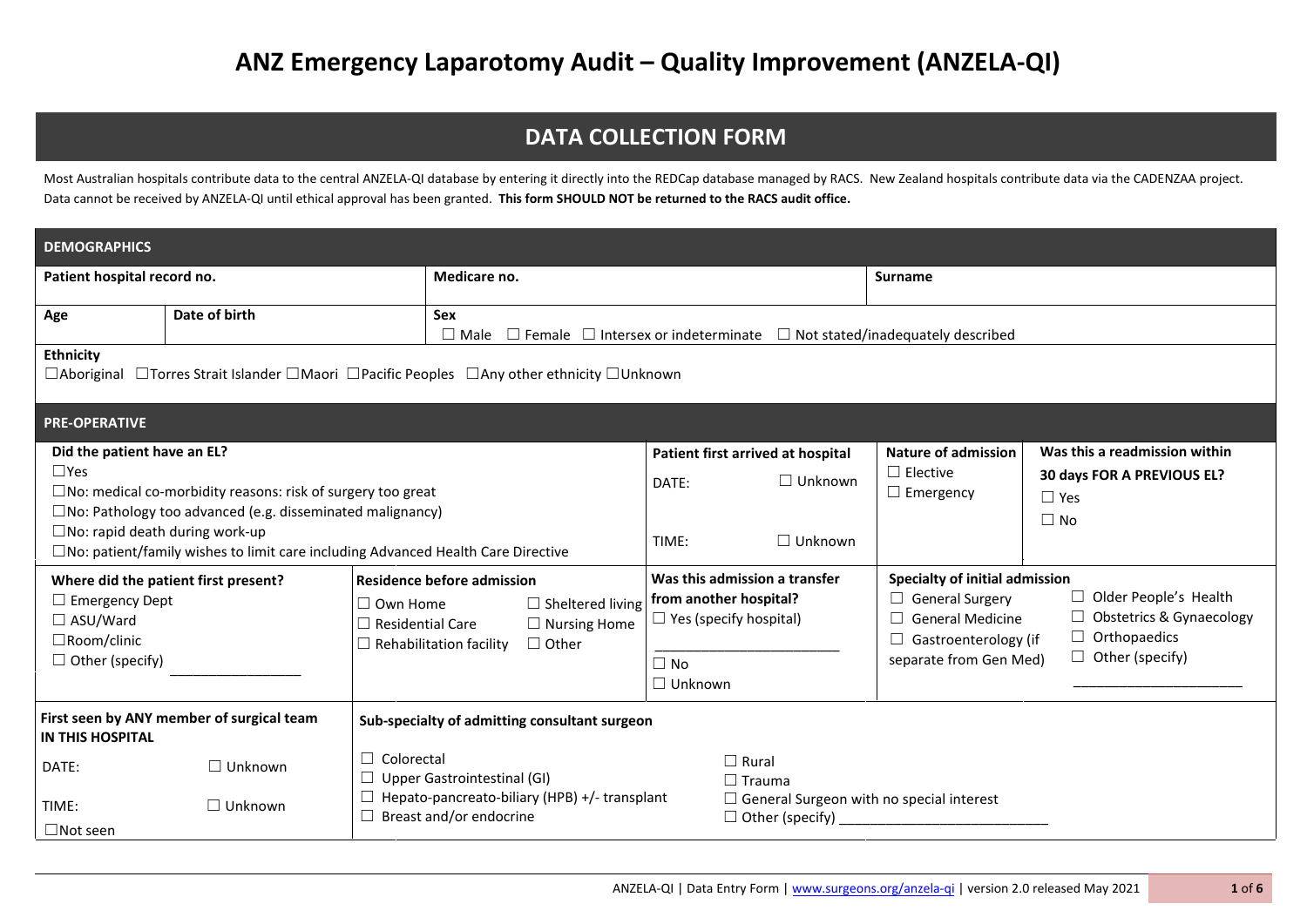## **DATA COLLECTION FORM**

Most Australian hospitals contribute data to the central ANZELA-QI database by entering it directly into the REDCap database managed by RACS. New Zealand hospitals contribute data via the CADENZAA project. Data cannot be received by ANZELA-QI until ethical approval has been granted. **This form SHOULD NOT be returned to the RACS audit office.**

| <b>DEMOGRAPHICS</b>                                                                                                           |                                                                                                                                              |                                                                                                                                                                                     |                                                                                                                         |                                                                       |                                                                                                                                                                                                                                                        |                                                                                           |  |  |  |  |
|-------------------------------------------------------------------------------------------------------------------------------|----------------------------------------------------------------------------------------------------------------------------------------------|-------------------------------------------------------------------------------------------------------------------------------------------------------------------------------------|-------------------------------------------------------------------------------------------------------------------------|-----------------------------------------------------------------------|--------------------------------------------------------------------------------------------------------------------------------------------------------------------------------------------------------------------------------------------------------|-------------------------------------------------------------------------------------------|--|--|--|--|
| Patient hospital record no.                                                                                                   |                                                                                                                                              | Medicare no.                                                                                                                                                                        |                                                                                                                         |                                                                       |                                                                                                                                                                                                                                                        | Surname                                                                                   |  |  |  |  |
| Age                                                                                                                           | Date of birth                                                                                                                                | <b>Sex</b><br>$\Box$ Male                                                                                                                                                           | $\Box$ Female $\Box$ Intersex or indeterminate $\Box$ Not stated/inadequately described                                 |                                                                       |                                                                                                                                                                                                                                                        |                                                                                           |  |  |  |  |
| <b>Ethnicity</b>                                                                                                              | $\Box$ Aboriginal $\Box$ Torres Strait Islander $\Box$ Maori $\Box$ Pacific Peoples $\Box$ Any other ethnicity $\Box$ Unknown                |                                                                                                                                                                                     |                                                                                                                         |                                                                       |                                                                                                                                                                                                                                                        |                                                                                           |  |  |  |  |
| <b>PRE-OPERATIVE</b>                                                                                                          |                                                                                                                                              |                                                                                                                                                                                     |                                                                                                                         |                                                                       |                                                                                                                                                                                                                                                        |                                                                                           |  |  |  |  |
| Did the patient have an EL?<br>$\Box$ Yes<br>$\square$ No: rapid death during work-up                                         | $\square$ No: medical co-morbidity reasons: risk of surgery too great<br>$\square$ No: Pathology too advanced (e.g. disseminated malignancy) | $\square$ No: patient/family wishes to limit care including Advanced Health Care Directive                                                                                          | DATE:<br>TIME:                                                                                                          | Patient first arrived at hospital<br>$\Box$ Unknown<br>$\Box$ Unknown | <b>Nature of admission</b><br>$\Box$ Elective<br>$\Box$ Emergency                                                                                                                                                                                      | Was this a readmission within<br>30 days FOR A PREVIOUS EL?<br>$\square$ Yes<br>$\Box$ No |  |  |  |  |
| Where did the patient first present?<br>$\Box$ Emergency Dept<br>$\Box$ ASU/Ward<br>□Room/clinic<br>$\Box$ Other (specify)    |                                                                                                                                              | <b>Residence before admission</b><br>$\Box$ Own Home<br>$\Box$ Sheltered living<br>$\Box$ Residential Care<br>$\Box$ Nursing Home<br>$\Box$ Other<br>$\Box$ Rehabilitation facility | Was this admission a transfer<br>from another hospital?<br>$\Box$ Yes (specify hospital)<br>$\Box$ No<br>$\Box$ Unknown |                                                                       | Specialty of initial admission<br>Older People's Health<br>$\Box$ General Surgery<br><b>Obstetrics &amp; Gynaecology</b><br><b>General Medicine</b><br>Orthopaedics<br>$\Box$ Gastroenterology (if<br>$\Box$ Other (specify)<br>separate from Gen Med) |                                                                                           |  |  |  |  |
| <b>IN THIS HOSPITAL</b>                                                                                                       | First seen by ANY member of surgical team                                                                                                    | Sub-specialty of admitting consultant surgeon                                                                                                                                       |                                                                                                                         |                                                                       |                                                                                                                                                                                                                                                        |                                                                                           |  |  |  |  |
| DATE:                                                                                                                         | $\Box$ Unknown                                                                                                                               | $\Box$ Colorectal<br>$\Box$ Upper Gastrointestinal (GI)                                                                                                                             | $\Box$ Rural                                                                                                            | $\Box$ Trauma                                                         |                                                                                                                                                                                                                                                        |                                                                                           |  |  |  |  |
| $\Box$ Hepato-pancreato-biliary (HPB) +/- transplant<br>TIME:<br>$\Box$ Unknown<br>Breast and/or endocrine<br>$\Box$ Not seen |                                                                                                                                              |                                                                                                                                                                                     |                                                                                                                         | $\Box$ Other (specify)                                                | $\Box$ General Surgeon with no special interest                                                                                                                                                                                                        |                                                                                           |  |  |  |  |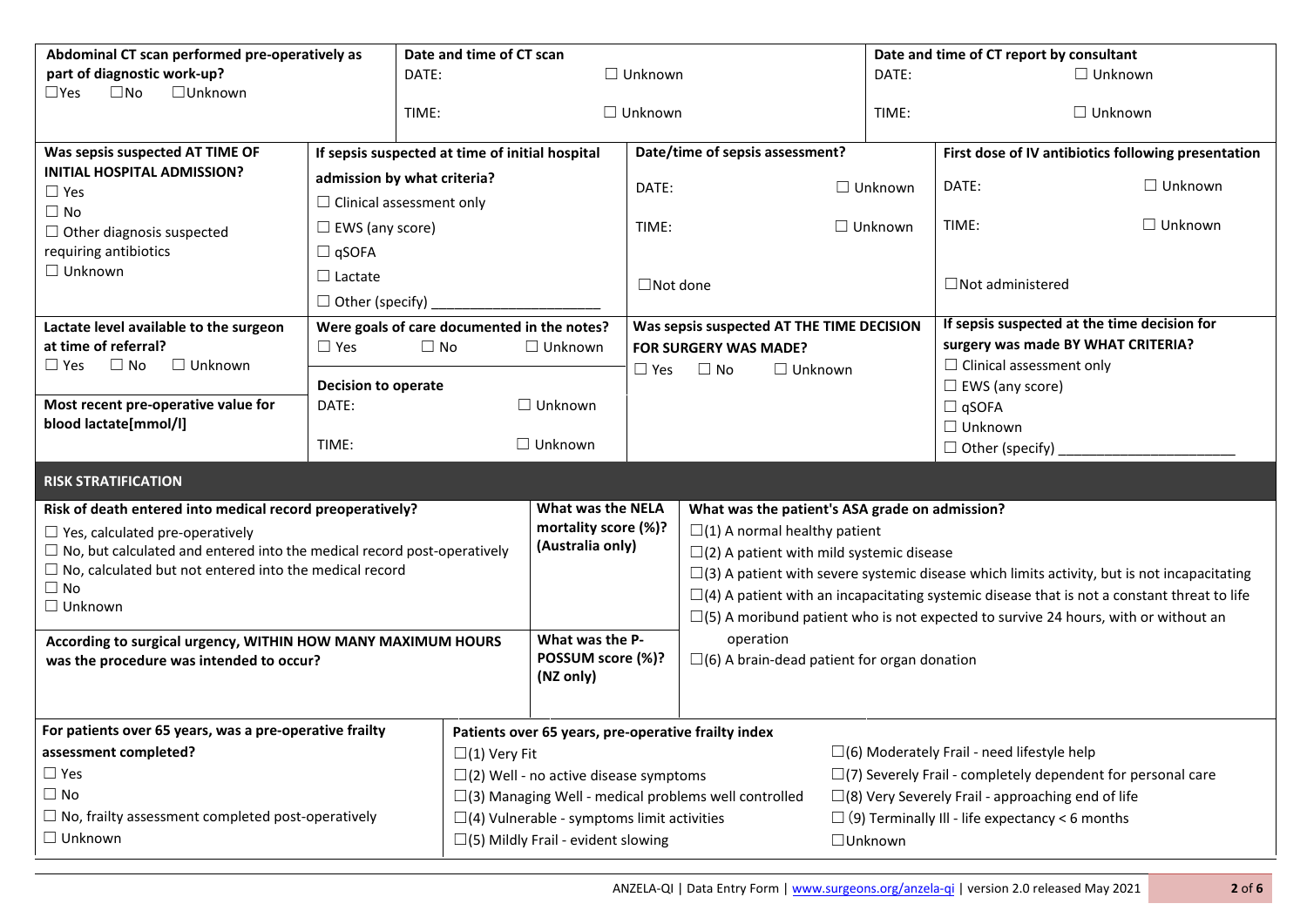| Abdominal CT scan performed pre-operatively as                                 |                                      | Date and time of CT scan                                       |                                                                    |                                                    |                                                                                                       |                                                                    | Date and time of CT report by consultant                                                           |                                                     |                                              |
|--------------------------------------------------------------------------------|--------------------------------------|----------------------------------------------------------------|--------------------------------------------------------------------|----------------------------------------------------|-------------------------------------------------------------------------------------------------------|--------------------------------------------------------------------|----------------------------------------------------------------------------------------------------|-----------------------------------------------------|----------------------------------------------|
| part of diagnostic work-up?                                                    |                                      | $\Box$ Unknown<br>DATE:                                        |                                                                    |                                                    |                                                                                                       |                                                                    | DATE:                                                                                              |                                                     | $\Box$ Unknown                               |
| $\square$ No<br>$\Box$ Unknown<br>$\square$ Yes                                |                                      |                                                                |                                                                    |                                                    |                                                                                                       |                                                                    |                                                                                                    |                                                     |                                              |
|                                                                                |                                      | TIME:                                                          |                                                                    | $\Box$ Unknown                                     |                                                                                                       |                                                                    | TIME:                                                                                              |                                                     | $\Box$ Unknown                               |
| Was sepsis suspected AT TIME OF                                                |                                      | If sepsis suspected at time of initial hospital                |                                                                    |                                                    | Date/time of sepsis assessment?                                                                       |                                                                    |                                                                                                    | First dose of IV antibiotics following presentation |                                              |
| <b>INITIAL HOSPITAL ADMISSION?</b>                                             |                                      | admission by what criteria?                                    |                                                                    |                                                    |                                                                                                       |                                                                    |                                                                                                    |                                                     |                                              |
| $\square$ Yes                                                                  | $\Box$ Clinical assessment only      |                                                                |                                                                    | DATE:                                              |                                                                                                       |                                                                    | $\Box$ Unknown                                                                                     | DATE:                                               | $\Box$ Unknown                               |
| $\Box$ No                                                                      |                                      |                                                                |                                                                    |                                                    |                                                                                                       | $\Box$ Unknown                                                     |                                                                                                    | TIME:                                               | $\Box$ Unknown                               |
| $\Box$ Other diagnosis suspected                                               | $\Box$ EWS (any score)               |                                                                |                                                                    | TIME:                                              |                                                                                                       |                                                                    |                                                                                                    |                                                     |                                              |
| requiring antibiotics<br>$\Box$ Unknown                                        | $\Box$ qSOFA                         |                                                                |                                                                    |                                                    |                                                                                                       |                                                                    |                                                                                                    |                                                     |                                              |
|                                                                                | $\Box$ Lactate                       |                                                                |                                                                    | $\Box$ Not done                                    |                                                                                                       |                                                                    |                                                                                                    | $\Box$ Not administered                             |                                              |
|                                                                                | $\Box$ Other (specify)               |                                                                |                                                                    |                                                    |                                                                                                       |                                                                    |                                                                                                    |                                                     |                                              |
| Lactate level available to the surgeon                                         |                                      | Were goals of care documented in the notes?                    |                                                                    |                                                    | Was sepsis suspected AT THE TIME DECISION                                                             |                                                                    |                                                                                                    |                                                     | If sepsis suspected at the time decision for |
| at time of referral?                                                           | $\Box$ Yes                           | $\Box$ No                                                      | $\Box$ Unknown                                                     |                                                    | <b>FOR SURGERY WAS MADE?</b>                                                                          |                                                                    |                                                                                                    | surgery was made BY WHAT CRITERIA?                  |                                              |
| $\Box$ No<br>$\Box$ Unknown<br>$\square$ Yes                                   |                                      |                                                                |                                                                    | $\Box$ No<br>$\Box$ Unknown<br>$\square$ Yes       |                                                                                                       |                                                                    |                                                                                                    | $\Box$ Clinical assessment only                     |                                              |
| Most recent pre-operative value for                                            | <b>Decision to operate</b><br>DATE:  |                                                                | $\Box$ Unknown                                                     |                                                    |                                                                                                       |                                                                    |                                                                                                    | $\Box$ EWS (any score)<br>$\Box$ qSOFA              |                                              |
| blood lactate[mmol/l]                                                          |                                      |                                                                |                                                                    |                                                    |                                                                                                       |                                                                    |                                                                                                    | $\Box$ Unknown                                      |                                              |
|                                                                                | TIME:                                |                                                                | $\Box$ Unknown                                                     |                                                    |                                                                                                       |                                                                    |                                                                                                    | $\Box$ Other (specify)                              |                                              |
|                                                                                |                                      |                                                                |                                                                    |                                                    |                                                                                                       |                                                                    |                                                                                                    |                                                     |                                              |
| <b>RISK STRATIFICATION</b>                                                     |                                      |                                                                |                                                                    |                                                    |                                                                                                       |                                                                    |                                                                                                    |                                                     |                                              |
| Risk of death entered into medical record preoperatively?                      |                                      | <b>What was the NELA</b>                                       |                                                                    | What was the patient's ASA grade on admission?     |                                                                                                       |                                                                    |                                                                                                    |                                                     |                                              |
| $\Box$ Yes, calculated pre-operatively                                         |                                      | mortality score (%)?<br>(Australia only)                       |                                                                    | $\square$ (1) A normal healthy patient             |                                                                                                       |                                                                    |                                                                                                    |                                                     |                                              |
| $\Box$ No, but calculated and entered into the medical record post-operatively |                                      |                                                                |                                                                    | $\square$ (2) A patient with mild systemic disease |                                                                                                       |                                                                    |                                                                                                    |                                                     |                                              |
| $\Box$ No, calculated but not entered into the medical record<br>$\Box$ No     |                                      |                                                                |                                                                    |                                                    | $\square$ (3) A patient with severe systemic disease which limits activity, but is not incapacitating |                                                                    |                                                                                                    |                                                     |                                              |
| $\Box$ Unknown                                                                 |                                      |                                                                |                                                                    |                                                    |                                                                                                       |                                                                    | $\Box$ (4) A patient with an incapacitating systemic disease that is not a constant threat to life |                                                     |                                              |
|                                                                                |                                      |                                                                |                                                                    |                                                    |                                                                                                       |                                                                    | $\Box$ (5) A moribund patient who is not expected to survive 24 hours, with or without an          |                                                     |                                              |
| According to surgical urgency, WITHIN HOW MANY MAXIMUM HOURS                   | What was the P-<br>POSSUM score (%)? |                                                                | operation<br>$\square$ (6) A brain-dead patient for organ donation |                                                    |                                                                                                       |                                                                    |                                                                                                    |                                                     |                                              |
| was the procedure was intended to occur?                                       |                                      |                                                                | (NZ only)                                                          |                                                    |                                                                                                       |                                                                    |                                                                                                    |                                                     |                                              |
|                                                                                |                                      |                                                                |                                                                    |                                                    |                                                                                                       |                                                                    |                                                                                                    |                                                     |                                              |
| For patients over 65 years, was a pre-operative frailty                        |                                      |                                                                |                                                                    |                                                    |                                                                                                       |                                                                    |                                                                                                    |                                                     |                                              |
| assessment completed?<br>$\Box(1)$ Very Fit                                    |                                      |                                                                | Patients over 65 years, pre-operative frailty index                |                                                    |                                                                                                       |                                                                    | $\Box$ (6) Moderately Frail - need lifestyle help                                                  |                                                     |                                              |
| $\Box$ Yes                                                                     |                                      |                                                                | $\square$ (2) Well - no active disease symptoms                    |                                                    |                                                                                                       | $\Box$ (7) Severely Frail - completely dependent for personal care |                                                                                                    |                                                     |                                              |
| $\Box$ No                                                                      |                                      | $\square$ (3) Managing Well - medical problems well controlled |                                                                    |                                                    |                                                                                                       | $\square$ (8) Very Severely Frail - approaching end of life        |                                                                                                    |                                                     |                                              |
| $\Box$ No, frailty assessment completed post-operatively                       |                                      | $\Box$ (4) Vulnerable - symptoms limit activities              |                                                                    |                                                    |                                                                                                       | $\Box$ (9) Terminally III - life expectancy < 6 months             |                                                                                                    |                                                     |                                              |
| $\Box$ Unknown                                                                 |                                      | $\square$ (5) Mildly Frail - evident slowing                   |                                                                    |                                                    | $\Box$ Unknown                                                                                        |                                                                    |                                                                                                    |                                                     |                                              |
|                                                                                |                                      |                                                                |                                                                    |                                                    |                                                                                                       |                                                                    |                                                                                                    |                                                     |                                              |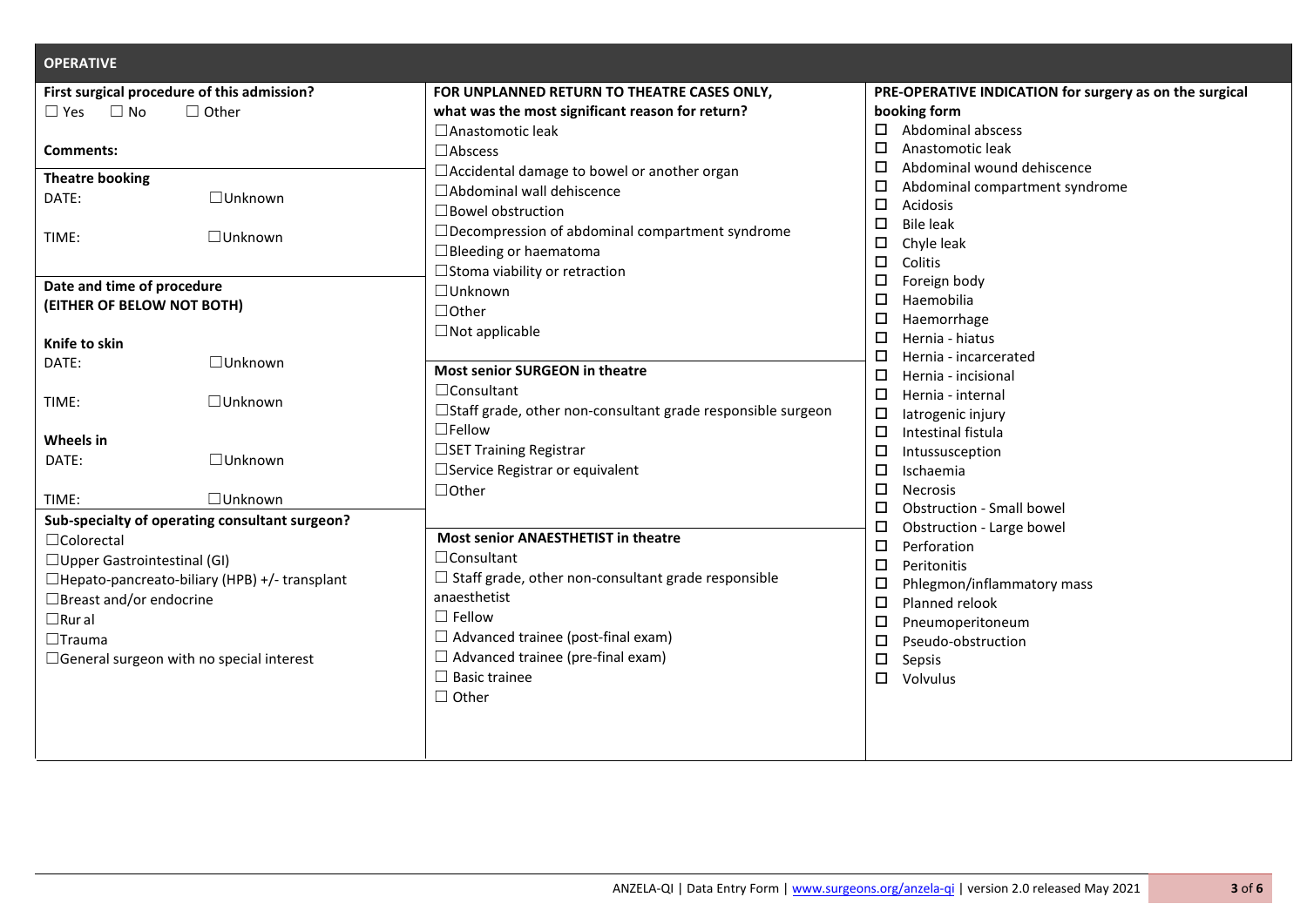| <b>OPERATIVE</b>                                     |                                                                    |                                                         |  |  |  |
|------------------------------------------------------|--------------------------------------------------------------------|---------------------------------------------------------|--|--|--|
| First surgical procedure of this admission?          | FOR UNPLANNED RETURN TO THEATRE CASES ONLY,                        | PRE-OPERATIVE INDICATION for surgery as on the surgical |  |  |  |
| $\Box$ No<br>$\Box$ Other<br>$\Box$ Yes              | what was the most significant reason for return?                   | booking form                                            |  |  |  |
|                                                      | $\square$ Anastomotic leak                                         | Abdominal abscess<br>□                                  |  |  |  |
| <b>Comments:</b>                                     | $\square$ Abscess                                                  | Anastomotic leak<br>□                                   |  |  |  |
| <b>Theatre booking</b>                               | □ Accidental damage to bowel or another organ                      | Abdominal wound dehiscence<br>□                         |  |  |  |
| $\Box$ Unknown<br>DATE:                              | □ Abdominal wall dehiscence                                        | Abdominal compartment syndrome<br>□                     |  |  |  |
|                                                      | $\Box$ Bowel obstruction                                           | Acidosis<br>□                                           |  |  |  |
| □Unknown<br>TIME:                                    | $\Box$ Decompression of abdominal compartment syndrome             | <b>Bile leak</b><br>□                                   |  |  |  |
|                                                      | $\Box$ Bleeding or haematoma                                       | Chyle leak<br>□                                         |  |  |  |
|                                                      | □ Stoma viability or retraction                                    | Colitis<br>□                                            |  |  |  |
| Date and time of procedure                           | □Unknown                                                           | □<br>Foreign body                                       |  |  |  |
| (EITHER OF BELOW NOT BOTH)                           | $\Box$ Other                                                       | Haemobilia<br>□                                         |  |  |  |
|                                                      | $\Box$ Not applicable                                              | □<br>Haemorrhage                                        |  |  |  |
| Knife to skin                                        |                                                                    | Hernia - hiatus<br>□                                    |  |  |  |
| □Unknown<br>DATE:                                    | Most senior SURGEON in theatre                                     | □<br>Hernia - incarcerated                              |  |  |  |
|                                                      | $\Box$ Consultant                                                  | □<br>Hernia - incisional                                |  |  |  |
| $\Box$ Unknown<br>TIME:                              | $\Box$ Staff grade, other non-consultant grade responsible surgeon | □<br>Hernia - internal                                  |  |  |  |
|                                                      | $\square$ Fellow                                                   | latrogenic injury<br>□                                  |  |  |  |
| Wheels in                                            | □SET Training Registrar                                            | Intestinal fistula<br>□                                 |  |  |  |
| □Unknown<br>DATE:                                    | □ Service Registrar or equivalent                                  | $\Box$<br>Intussusception<br>Ischaemia                  |  |  |  |
|                                                      |                                                                    | □<br>□                                                  |  |  |  |
| □Unknown<br>TIME:                                    | $\Box$ Other                                                       | <b>Necrosis</b><br>Obstruction - Small bowel<br>□       |  |  |  |
| Sub-specialty of operating consultant surgeon?       |                                                                    | □<br>Obstruction - Large bowel                          |  |  |  |
| $\Box$ Colorectal                                    | Most senior ANAESTHETIST in theatre                                | $\Box$<br>Perforation                                   |  |  |  |
| $\Box$ Upper Gastrointestinal (GI)                   | $\Box$ Consultant                                                  | □<br>Peritonitis                                        |  |  |  |
| $\Box$ Hepato-pancreato-biliary (HPB) +/- transplant | $\Box$ Staff grade, other non-consultant grade responsible         | □<br>Phlegmon/inflammatory mass                         |  |  |  |
| □Breast and/or endocrine                             | anaesthetist                                                       | Planned relook<br>□                                     |  |  |  |
| $\Box$ Rural                                         | $\Box$ Fellow                                                      | □<br>Pneumoperitoneum                                   |  |  |  |
| $\Box$ Trauma                                        | $\Box$ Advanced trainee (post-final exam)                          | □<br>Pseudo-obstruction                                 |  |  |  |
| $\Box$ General surgeon with no special interest      | $\Box$ Advanced trainee (pre-final exam)                           | □<br>Sepsis                                             |  |  |  |
|                                                      | $\Box$ Basic trainee                                               | □<br>Volvulus                                           |  |  |  |
|                                                      | $\Box$ Other                                                       |                                                         |  |  |  |
|                                                      |                                                                    |                                                         |  |  |  |
|                                                      |                                                                    |                                                         |  |  |  |
|                                                      |                                                                    |                                                         |  |  |  |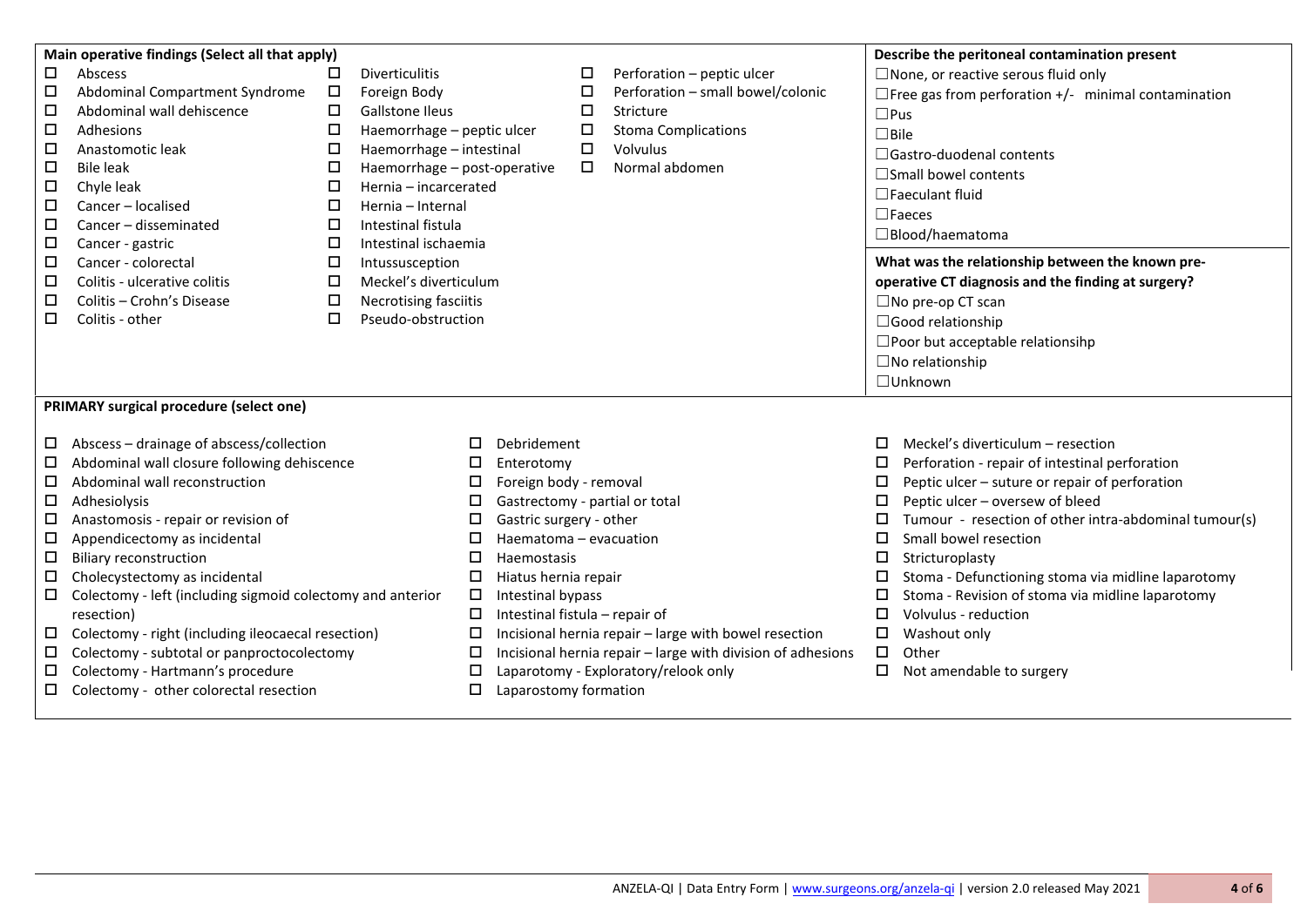|                                                                 | Main operative findings (Select all that apply)            |                             |                                |                                                             |                                      |                                                       | Describe the peritoneal contamination present              |  |  |
|-----------------------------------------------------------------|------------------------------------------------------------|-----------------------------|--------------------------------|-------------------------------------------------------------|--------------------------------------|-------------------------------------------------------|------------------------------------------------------------|--|--|
| □                                                               | Abscess                                                    | <b>Diverticulitis</b><br>□  |                                | □                                                           | Perforation - peptic ulcer           |                                                       | $\square$ None, or reactive serous fluid only              |  |  |
| □                                                               | Abdominal Compartment Syndrome                             | $\Box$<br>Foreign Body      |                                | □                                                           | Perforation - small bowel/colonic    |                                                       | $\Box$ Free gas from perforation +/- minimal contamination |  |  |
| □                                                               | Abdominal wall dehiscence                                  | □<br><b>Gallstone Ileus</b> |                                | □                                                           | Stricture                            |                                                       | $\square$ Pus                                              |  |  |
| □                                                               | Adhesions                                                  | □                           | Haemorrhage - peptic ulcer     | $\Box$                                                      | <b>Stoma Complications</b>           |                                                       | $\Box$ Bile                                                |  |  |
| □                                                               | Anastomotic leak                                           | □                           | Haemorrhage - intestinal       | □                                                           | Volvulus                             |                                                       | $\Box$ Gastro-duodenal contents                            |  |  |
| □                                                               | <b>Bile leak</b>                                           | □                           | Haemorrhage - post-operative   | □                                                           | Normal abdomen                       |                                                       |                                                            |  |  |
| $\Box$                                                          | Chyle leak                                                 | □                           | Hernia - incarcerated          |                                                             |                                      |                                                       | □Small bowel contents                                      |  |  |
| □                                                               | Cancer - localised                                         | □<br>Hernia - Internal      |                                |                                                             |                                      |                                                       | $\Box$ Faeculant fluid                                     |  |  |
| □                                                               | Cancer - disseminated                                      | □<br>Intestinal fistula     |                                |                                                             |                                      |                                                       | $\square$ Faeces                                           |  |  |
| □                                                               | Cancer - gastric                                           | □                           | Intestinal ischaemia           |                                                             |                                      |                                                       | □Blood/haematoma                                           |  |  |
| $\Box$                                                          | Cancer - colorectal                                        | □<br>Intussusception        |                                |                                                             |                                      |                                                       | What was the relationship between the known pre-           |  |  |
| □                                                               | □<br>Meckel's diverticulum<br>Colitis - ulcerative colitis |                             |                                |                                                             |                                      |                                                       | operative CT diagnosis and the finding at surgery?         |  |  |
| □                                                               | Colitis - Crohn's Disease                                  | $\Box$                      | Necrotising fasciitis          |                                                             |                                      |                                                       | $\square$ No pre-op CT scan                                |  |  |
| □                                                               | Colitis - other                                            | $\Box$                      | Pseudo-obstruction             |                                                             |                                      |                                                       | □Good relationship                                         |  |  |
|                                                                 |                                                            |                             |                                |                                                             |                                      |                                                       | □ Poor but acceptable relationsihp                         |  |  |
|                                                                 |                                                            |                             |                                |                                                             |                                      |                                                       | $\square$ No relationship                                  |  |  |
|                                                                 |                                                            |                             |                                |                                                             |                                      |                                                       | $\Box$ Unknown                                             |  |  |
|                                                                 |                                                            |                             |                                |                                                             |                                      |                                                       |                                                            |  |  |
|                                                                 | PRIMARY surgical procedure (select one)                    |                             |                                |                                                             |                                      |                                                       |                                                            |  |  |
|                                                                 |                                                            |                             |                                |                                                             |                                      |                                                       |                                                            |  |  |
| □                                                               | Abscess - drainage of abscess/collection                   |                             | Debridement<br>П.              |                                                             |                                      |                                                       | □<br>Meckel's diverticulum - resection                     |  |  |
| □                                                               | Abdominal wall closure following dehiscence                | ◻                           | Enterotomy                     |                                                             |                                      | Perforation - repair of intestinal perforation<br>□   |                                                            |  |  |
|                                                                 | Abdominal wall reconstruction<br>□                         |                             | □                              | Foreign body - removal                                      |                                      |                                                       | Peptic ulcer - suture or repair of perforation<br>□        |  |  |
|                                                                 | □<br>Adhesiolysis                                          |                             | □                              | Gastrectomy - partial or total                              |                                      |                                                       | Peptic ulcer - oversew of bleed<br>□                       |  |  |
|                                                                 | Anastomosis - repair or revision of<br>□                   |                             | □                              | Gastric surgery - other                                     |                                      |                                                       | Tumour - resection of other intra-abdominal tumour(s)<br>□ |  |  |
|                                                                 | Appendicectomy as incidental<br>□                          |                             | □                              | Haematoma - evacuation                                      |                                      |                                                       | □<br>Small bowel resection                                 |  |  |
|                                                                 | <b>Biliary reconstruction</b><br>□                         |                             | $\Box$                         | Haemostasis                                                 |                                      |                                                       | □<br>Stricturoplasty                                       |  |  |
|                                                                 | Cholecystectomy as incidental<br>□                         |                             | □                              | Hiatus hernia repair                                        |                                      |                                                       | Stoma - Defunctioning stoma via midline laparotomy<br>□    |  |  |
| Colectomy - left (including sigmoid colectomy and anterior<br>□ |                                                            | $\Box$                      | Intestinal bypass              |                                                             |                                      | Stoma - Revision of stoma via midline laparotomy<br>□ |                                                            |  |  |
|                                                                 | resection)                                                 | $\Box$                      | Intestinal fistula - repair of |                                                             |                                      | □<br>Volvulus - reduction                             |                                                            |  |  |
|                                                                 | Colectomy - right (including ileocaecal resection)<br>□    |                             | □                              | Incisional hernia repair - large with bowel resection       |                                      |                                                       | $\Box$<br>Washout only                                     |  |  |
|                                                                 |                                                            |                             |                                | Incisional hernia repair - large with division of adhesions |                                      |                                                       |                                                            |  |  |
| □                                                               | Colectomy - subtotal or panproctocolectomy                 |                             | □                              |                                                             |                                      |                                                       | $\Box$<br>Other                                            |  |  |
| □                                                               | Colectomy - Hartmann's procedure                           |                             | □                              |                                                             | Laparotomy - Exploratory/relook only |                                                       | Not amendable to surgery<br>0                              |  |  |
| □                                                               | Colectomy - other colorectal resection                     |                             | □<br>Laparostomy formation     |                                                             |                                      |                                                       |                                                            |  |  |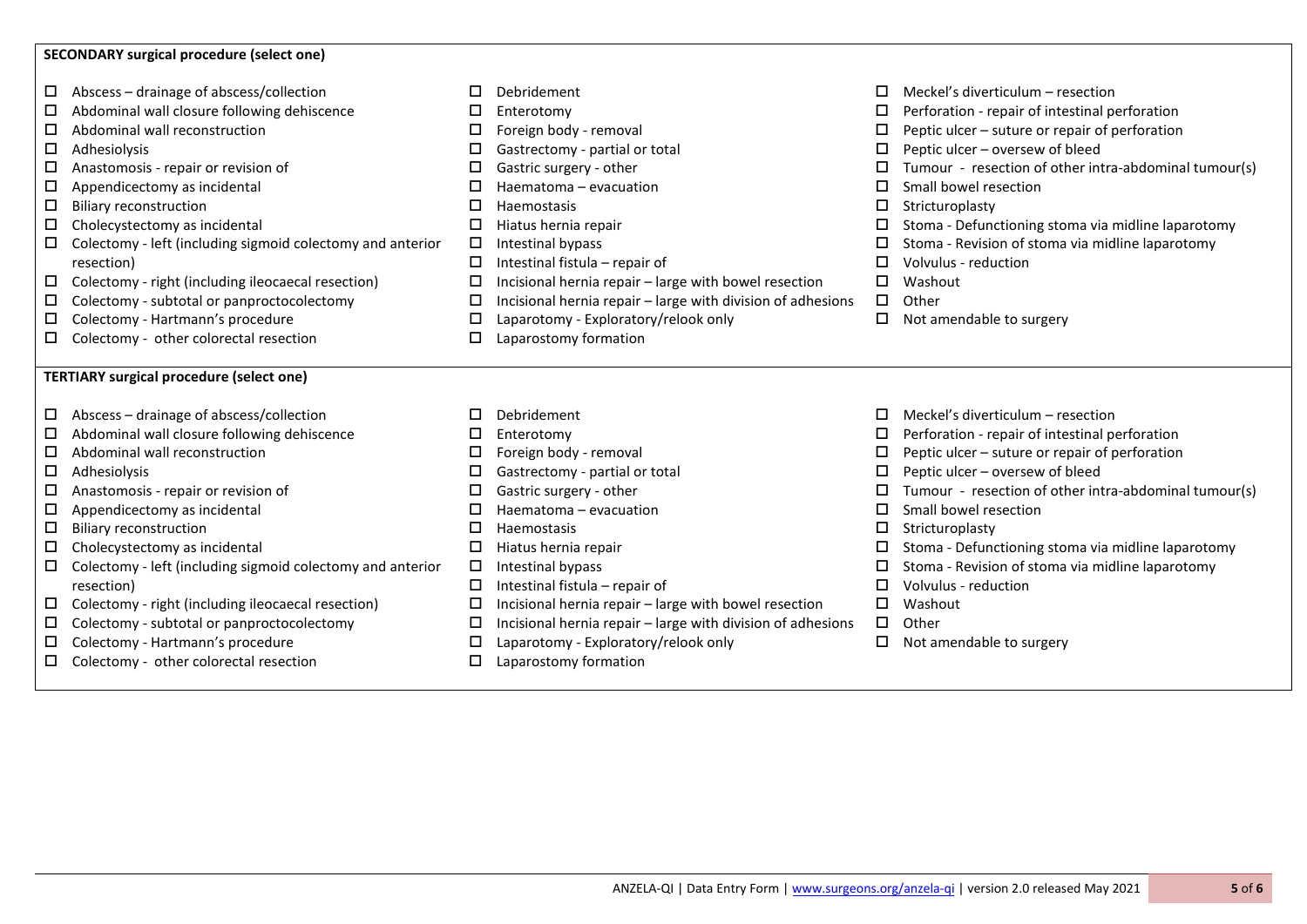## **SECONDARY surgical procedure (select one)**

- $\Box$  Abscess drainage of abscess/collection
- $\Box$  Abdominal wall closure following dehiscence
- □ Abdominal wall reconstruction
- $\Box$  Adhesiolysis
- $\Box$  Anastomosis repair or revision of
- $\Box$  Appendicectomy as incidental
- $\square$  Biliary reconstruction
- $\Box$  Cholecystectomy as incidental
- $\Box$  Colectomy left (including sigmoid colectomy and anterior resection)
- $\Box$  Colectomy right (including ileocaecal resection)
- $\Box$  Colectomy subtotal or panproctocolectomy
- Colectomy Hartmann's procedure
- $\Box$  Colectomy other colorectal resection

## **TERTIARY surgical procedure (select one)**

- $\Box$  Abscess drainage of abscess/collection
- $\Box$  Abdominal wall closure following dehiscence
- $\Box$  Abdominal wall reconstruction
- $\square$  Adhesiolysis
- $\Box$  Anastomosis repair or revision of
- $\Box$  Appendicectomy as incidental
- $\square$  Biliary reconstruction
- $\square$  Cholecystectomy as incidental
- $\Box$  Colectomy left (including sigmoid colectomy and anterior resection)
- $\Box$  Colectomy right (including ileocaecal resection)
- $\Box$  Colectomy subtotal or panproctocolectomy
- $\Box$  Colectomy Hartmann's procedure
- $\square$  Colectomy other colorectal resection
- Debridement
- Enterotomy
- $\Box$  Foreign body removal
- $\square$  Gastrectomy partial or total
- $\Box$  Gastric surgery other
- $\Box$  Haematoma evacuation
- $\Pi$  Haemostasis
- $\Box$  Hiatus hernia repair
- $\Box$  Intestinal bypass
- $\Box$  Intestinal fistula repair of
- $\Box$  Incisional hernia repair large with bowel resection
- $\Box$  Incisional hernia repair large with division of adhesions
- $\square$  Laparotomy Exploratory/relook only
- Laparostomy formation
- D Debridement
- Enterotomy
- $\Box$  Foreign body removal
- $\square$  Gastrectomy partial or total
- □ Gastric surgery other
- $\Box$  Haematoma evacuation
- $\Box$  Haemostasis
- $\Box$  Hiatus hernia repair
- $\Box$  Intestinal bypass
- $\Box$  Intestinal fistula repair of
- $\Box$  Incisional hernia repair large with bowel resection
- $\Box$  Incisional hernia repair large with division of adhesions
- $\Box$  Laparotomy Exploratory/relook only
- 
- $\Box$  Meckel's diverticulum resection
- $\square$  Perforation repair of intestinal perforation
- $\Box$  Peptic ulcer suture or repair of perforation
- $\Box$  Peptic ulcer oversew of bleed
- $\Box$  Tumour resection of other intra-abdominal tumour(s)
- $\square$  Small bowel resection
- $\square$  Stricturoplasty
- $\square$  Stoma Defunctioning stoma via midline laparotomy
- $\square$  Stoma Revision of stoma via midline laparotomy
- $\Box$  Volvulus reduction
- Washout
- $\Pi$  Other
- $\Box$  Not amendable to surgery
- $\Box$  Meckel's diverticulum resection
- $\square$  Perforation repair of intestinal perforation
- $\Box$  Peptic ulcer suture or repair of perforation
- $\Box$  Peptic ulcer oversew of bleed
- $\Box$  Tumour resection of other intra-abdominal tumour(s)
- $\square$  Small bowel resection
- $\square$  Stricturoplasty
- $\square$  Stoma Defunctioning stoma via midline laparotomy
- $\square$  Stoma Revision of stoma via midline laparotomy
- $\Box$  Volvulus reduction
- Washout
- $\Pi$  Other
- $\Box$  Not amendable to surgery

Laparostomy formation